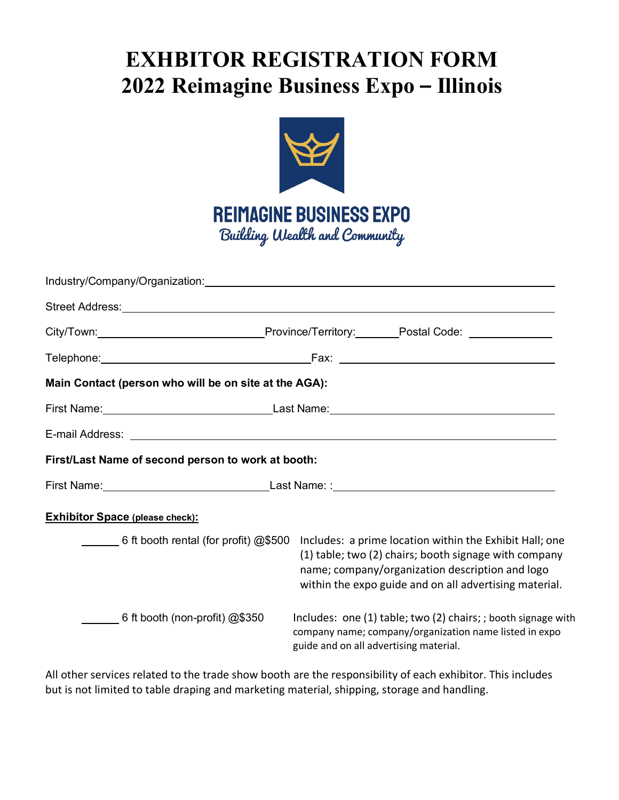# **EXHBITOR REGISTRATION FORM 2022 Reimagine Business Expo – Illinois**



|                                                                                                                                                                                                                                                                                | Industry/Company/Organization: www.communication.com/water/water/water/water/water/water/water/water/water/water/                                                 |  |  |  |  |
|--------------------------------------------------------------------------------------------------------------------------------------------------------------------------------------------------------------------------------------------------------------------------------|-------------------------------------------------------------------------------------------------------------------------------------------------------------------|--|--|--|--|
|                                                                                                                                                                                                                                                                                |                                                                                                                                                                   |  |  |  |  |
|                                                                                                                                                                                                                                                                                | City/Town:___________________________________Province/Territory:________Postal Code: ______________                                                               |  |  |  |  |
|                                                                                                                                                                                                                                                                                |                                                                                                                                                                   |  |  |  |  |
| Main Contact (person who will be on site at the AGA):                                                                                                                                                                                                                          |                                                                                                                                                                   |  |  |  |  |
|                                                                                                                                                                                                                                                                                |                                                                                                                                                                   |  |  |  |  |
|                                                                                                                                                                                                                                                                                |                                                                                                                                                                   |  |  |  |  |
| First/Last Name of second person to work at booth:                                                                                                                                                                                                                             |                                                                                                                                                                   |  |  |  |  |
|                                                                                                                                                                                                                                                                                |                                                                                                                                                                   |  |  |  |  |
| <b>Exhibitor Space (please check):</b>                                                                                                                                                                                                                                         |                                                                                                                                                                   |  |  |  |  |
| $\sim$ 6 ft booth rental (for profit) $@$500$<br>Includes: a prime location within the Exhibit Hall; one<br>(1) table; two (2) chairs; booth signage with company<br>name; company/organization description and logo<br>within the expo guide and on all advertising material. |                                                                                                                                                                   |  |  |  |  |
| 6 ft booth (non-profit) $@$350$                                                                                                                                                                                                                                                | Includes: one (1) table; two (2) chairs; ; booth signage with<br>company name; company/organization name listed in expo<br>guide and on all advertising material. |  |  |  |  |

All other services related to the trade show booth are the responsibility of each exhibitor. This includes but is not limited to table draping and marketing material, shipping, storage and handling.